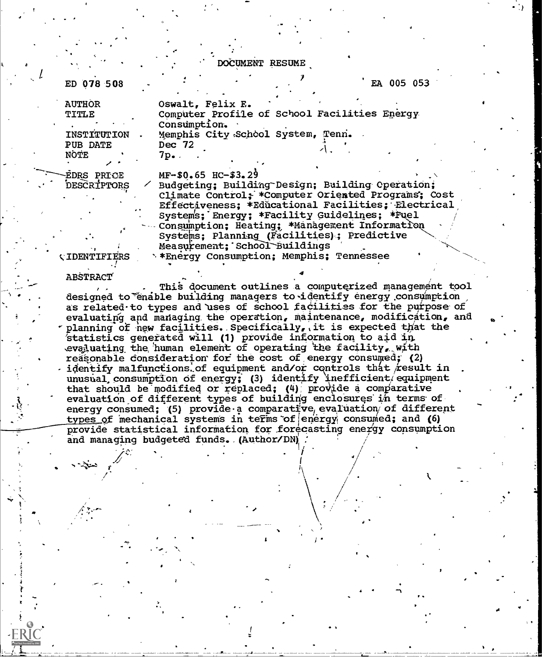DOCUMENT RESUME

ED 078 508

EA 005 053

**AUTHOR** Oswalt, Felix E. Computer Profile of School Facilities Energy TITLE Consumption. Memphis City School System, Tenn. INSTITUTION Dec 72

 $7p_{\bullet}$  .

PUB DATE NOTE

**EDRS PRICE** DESCRIPTORS

 $MF-$0.65$  HC-\$3.29 Budgeting; Building Design; Building Operation; Climate Control; \*Computer Oriented Programs: Cost Effectiveness: \*Educational Facilities: Electrical Systems; Energy; \*Facility Guidelines; \*Fuel Consumption; Heating; \*Management Information Systems; Planning (Facilities); Predictive Measurement: School Buildings \*\* Energy Consumption; Memphis; Tennessee

## **ABSTRACT**

**CIDENTIFIERS** 

This document outlines a computerized management tool designed to enable building managers to identify energy consumption as related to types and uses of school facilities for the purpose of evaluating and managing the operation, maintenance, modification, and planning of new facilities. Specifically, it is expected that the 'statistics generated will (1) provide information to aid in evaluating the human element of operating the facility, with reasonable consideration for the cost of energy consumed; (2) identify malfunctions of equipment and/or controls that result in unusual consumption of energy; (3) identify inefficient/equipment that should be modified or replaced; (4) provide a comparative evaluation of different types of building enclosures in terms of energy consumed; (5) provide a comparative evaluation of different types of mechanical systems in terms of energy consumed; and (6) provide statistical information for forecasting energy consumption and managing budgeted funds. (Author/DN)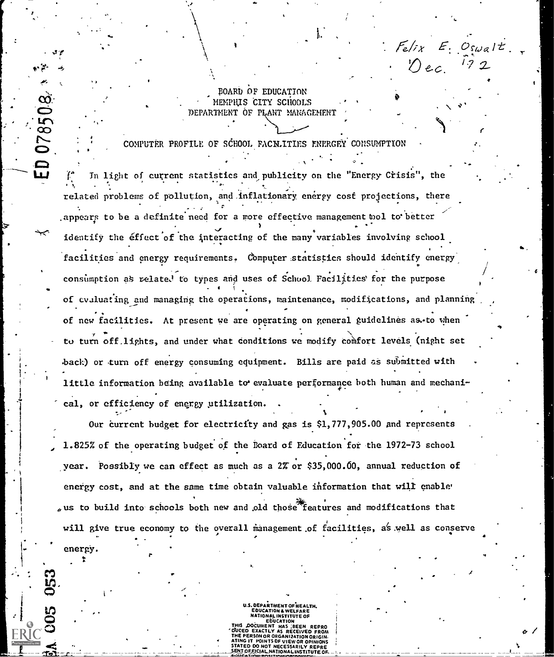BOARD OF EDUCATION MEMPHIS CITY SCHOOLS DEPARTMENT OF PLANT MANAGEMENT

COMPUTER PROFILE OF SCHOOL FACN.ITIES ENERGEY CONSUMPTION

 $F_{e}/f_{X}$   $E_{i}$   $O_{swal}t$ 

 $\mathcal{D}$ ec

a

/

-C.'Z . . .  $1.3$   $\mu$   $\mu$   $\sigma$  in light of current statistics and publicity on the "Energy Crisis", the  $\sigma$ related problems of pollution, and.inflationary energy cost projections, there .appears to be a definite need for a more effective management tool to better identify the effect of the interacting of the many variables involving school facilities and energy requirements. Computer statistics should identify energy  $\sim$ consumption as  $\bm{\kappa}$  related to types and uses of School Facilities for the purpose  $\bm{\kappa}$  . of evaluating and managing the operations, maintenance, modifications, and planning of new facilities. At present we are operating on general guidelines as.to when to turn off.lights, and under what conditions we modify comfort levels (night set back) or turn off energy consuming equipment. Bills are paid as submitted with little information being available to evaluate performance both human and mechanical, or efficiency of energy utilization.

Our current budget for electricity and gas is \$1,777,905.00 and represents 1.825% of the operating budget of the Board of Education for the 1972-73 school year. Possibly we can effect as much as a 2% or \$35,000.60, annual reduction of energy cost, and at the same time obtain valuable information that will enable<sup>.</sup>  $s$  us to build into schools both new and old those features and modifications that will give true economy to the overall management of facilities, as well as conserve

energy.

. .

F

078508

U.S. DEPARTMENT OF HEALTH. EDUCATION & WELFARE<br>NATIONAL INSTITUTE OF External state of Ebucation DOCUMENT HAS .BEEN ON OR ORGANIZATION ORIGIN.<br>POINTS DE VIEW OR ODINIONS

STION AL INSTITU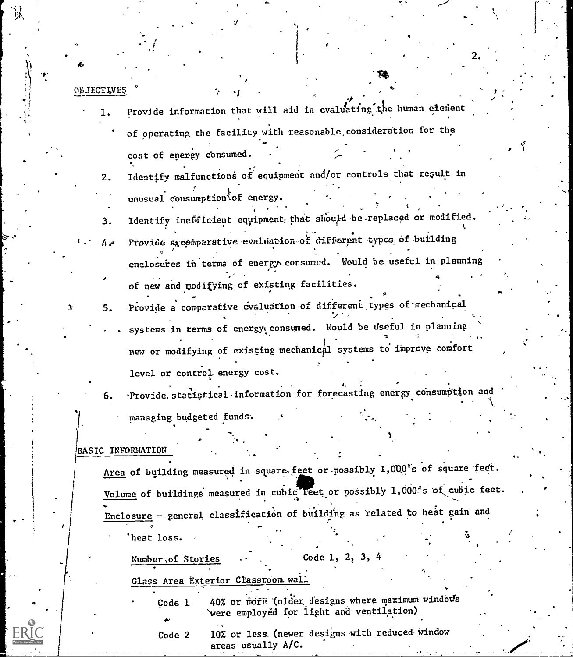| OBJECTIVES |                                                                              |
|------------|------------------------------------------------------------------------------|
|            | Provide information that will aid in evaluating the human element            |
|            | of operating the facility with reasonable consideration for the              |
|            | cost of energy consumed.                                                     |
| 2.         | Identify malfunctions of equipment and/or controls that result in            |
|            | unusual consumption of energy.                                               |
| 3.         | Identify inefficient equipment, that should be replaced or modified.         |
| - 4        | Provide a comparative evaluation of different types of building              |
|            | enclosures in terms of energy consumed. Would be useful in planning          |
|            | of new and modifying of existing facilities.                                 |
| 5.         | Provide a comparative evaluation of different types of mechanical            |
|            | systems in terms of energy consumed. Would be useful in planning             |
|            | new or modifying of existing mechanical systems to improve comfort           |
|            | level or control energy cost.                                                |
| 6.         | Provide statistical information for forecasting energy consumption and       |
|            | managing budgeted funds.                                                     |
|            |                                                                              |
|            | BASIC INFORMATION                                                            |
|            | Area of building measured in square feet or possibly 1,000's of square feet. |
|            | Volume of buildings measured in cubic feet or possibly 1,000's of cubic feet |
|            | Enclosure - general classification of building as related to heat gain and   |
|            | 'heat loss.                                                                  |
|            | Code 1, 2, 3, 4<br>Number, of Stories                                        |

Ň

Number, of Stories

 $\mathbb{R}^2$ 

ħ

ERIC

Glass Area Exterior Classroom wall

40% or more (older designs where maximum windows were employed for light and ventilation) Çode 1  $\blacktriangle$ 

10% or less (newer designs with reduced window Code 2 areas usually A/C.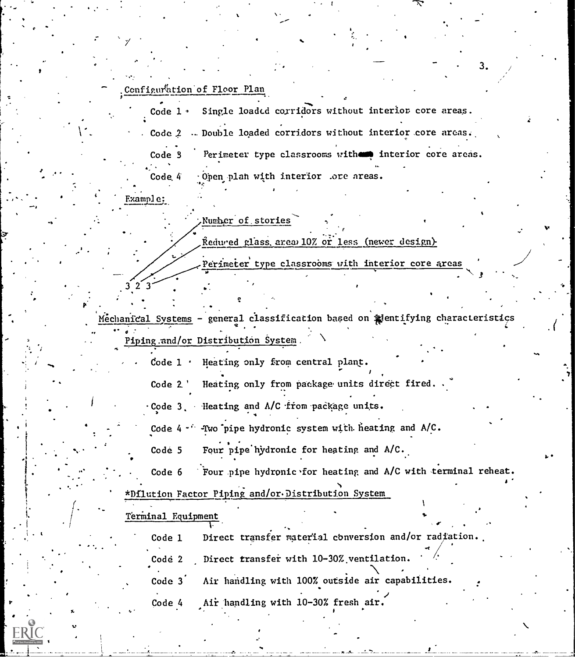## Configuration of Floor Plan

Code 1 · Single loaded corridors without interior core areas. Code 2 . Double loaded corridors without interior core areas. Code 3 Perimeter type classrooms with interior core areas. Code 4 - Open plan with interior .ore areas.

Example:

 $3^2$   $3^2$ 

 $\epsilon$  and  $\epsilon$ 

 $\frac{1}{2}$ .,  $\frac{1}{2}$ .

## Number of stories

Reduced glass area 10% or less (newer design).

Perimeter type classrooms with interior core areas

i

Mechanical Systems - general classification based on pentifying characteristics . .. . Piping:and/or Distribution System.

Code 1 . Heating only from central plant.

Code 2.' Heating only from package units direct fired.

Code 3, Heating and A/C from package units.

Code 4 - - - Two pipe hydronic system with heating and A/C.

Code 5 Four pipe hydronic for heating and  $A/C$ .

Code 6 Four pipe hydronic for heating and A/C with terminal reheat.

\*Dilution Factor Piping and/or Distribution System

Terminal Equipment

1.000 million

code 1 Direct transfer material conversion and/or radiation.

Code 2 Direct transfer with 10-30% ventilation.

Code 3<sup>'</sup> Air handling with 100% outside air capabilities.

Code 4 Air handling with 10-30% fresh air.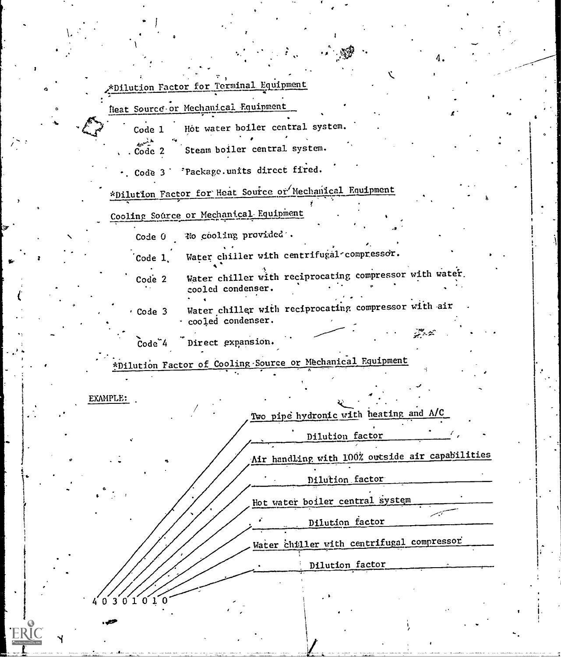| *Dilution Factor for Terminal Equipment |  |  |  |  |  |
|-----------------------------------------|--|--|--|--|--|
|                                         |  |  |  |  |  |
|                                         |  |  |  |  |  |

Reat Source or Mechanical Equipment

0

Code 1 Hot water boiler central system.

 $\sim$ . Code 2 Steam boiler central system.

. Code 3 Package.units direct fired.

\*Dilution Factor for Heat Source or Mechanical Equipment

Cooling Source or Mechanical Equipment

Code 0 No cooling provided'.

Code 1, Water chiller with centrifugal-compressor.

Water chiller with reciprocating compressor with water. cooled condenser. Code 2

te and the second

4.

Code 3 water chiller with reciprocating compressor with air . cooled condenser.

 $Code<sup>4</sup>$ Direct expansion.

\*Dilution Factor of Cooling-Source or Mechanical Equipment

EXAMPLE:

 $0' 3' 0' 1' 0' 1' 0$ 

**FRIC** 

 $\bullet$  and the set of  $\bullet$ 

Two pipe hydronic with heating and  $\Lambda/C$ 

Dilution factor

Air handling with 100% outside air capabilities

 $\mathbf{A} = \begin{bmatrix} 1 & 0 & 0 \\ 0 & 1 & 0 \\ 0 & 0 & 0 \end{bmatrix}$ 

Dilution factor

Hot water boiler central system

Dilution factor

Water chiller with centrifugal compressor

Dilution factor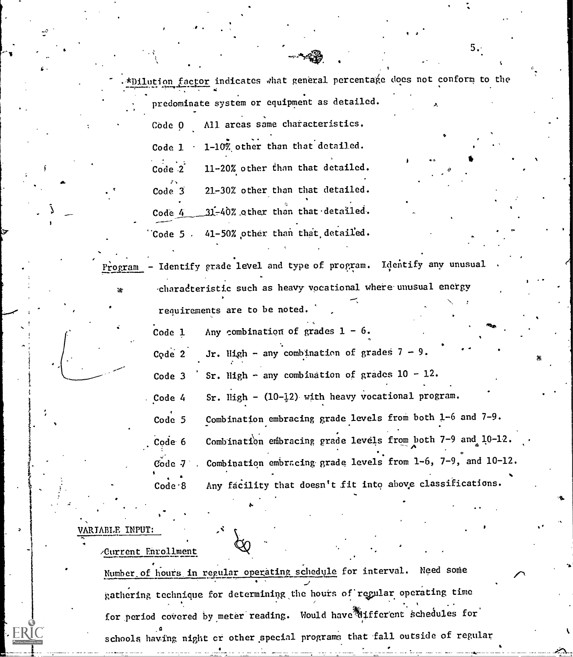.\*Dilution factor indicates what general percentage does not conform to the predominate system or equipment as detailed. Code 0 All areas same characteristics. Code 1 1-10% other than that detailed. Code 2 11-20% other than that detailed.  $\mathcal{T}(\mathbf{y}) = \mathbf{y}$ Code 3 21-30% other than that detailed. Code  $4$  31-40% other than that detailed. Code 5 .  $41-50\%$  other than that detailed. Andrew Control  $\partial$ ,  $\partial$ 

s

 $\bullet$  4.4  $\bullet$ 

 $5.$ 

Program - Identify grade level and type of program. Identify any unusual characteristic such as heavy vocational where. unusual energy requirements are to be noted.

> Code 1 Code 2 Any combination of grades  $1 - 6$ . Jr. High - any combination of grades  $7 - 9$ . Code 3  $^{\circ}$  Sr. High - any combination of grades 10 - 12. Code 4 Sr. High -  $(10-\frac{1}{2})$  with heavy vocational program. Code 5 Combination embracing grade levels from both  $1-6$  and  $7-9$ .  $\mathcal{A}$ Code 6 Combination embracing grade levels from both 7-9 and 10-12.  $\tilde{\text{code}}$ de  $7$  . Combination embracing grade levels from 1-6, 7-9, and 10-12. . Code-8 Any facility that doesn't fit into above classifications.

## VARIABLE INPUT:

fa.

ERIC

/Current Enrollment

Number of hours in regular operating schedule for interval. Need some gathering technique for determining the hours of regular operating time for period covered by meter reading. Would have different schedules for schools having night cr other special programs that fall outside of regular

ti di secolo di contro di contro di contro di contro di contro di contro di contro di contro di contro di contro di contro di contro di contro di contro di contro di contro di contro di contro di contro di contro di contro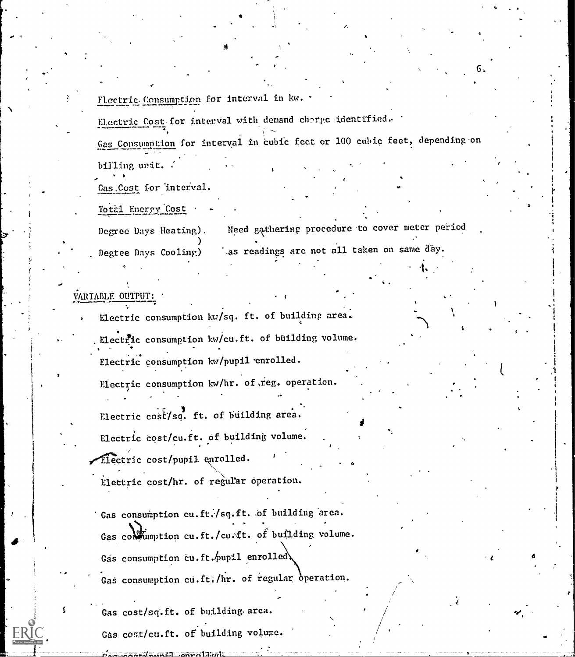Fl*e*ctric Consumption for interval in kw. \* . .

Electric Cost for interval with demand charge identified. Gas Consumption for interval in cubic fect or 100 cubic feet, depending on billing unit.

 $\sigma_{\bullet}$  . The set of  $\sigma_{\bullet}$ 

Pe.

**O** and the set

%.

Cas.Cost for 'interval.

To tal Energy Cost

Degree Days Heating). Degree Days Cooling) Need gathering procedure to cover meter period as readings are not all taken on same day.

VARTABLE OUTPUT:

Electric consumption  $kv/sq$ . ft. of building area.

Electric consumption kw/cu.ft. of building volume.

Electric consumption kw/pupil enrolled.

Electric consumption kw/hr. of reg. operation.

Electric cost/sq. ft. of building area.

Electric cost/cu.ft. of building volume.

Hectric cost/pupil enrolled.

Elettric cost/hr. of regular operation.

Gas consumption cu.ft./sq.ft. of building area. Gas contumption cu.ft./cu.ft. of building volume. Gas consumption cu.ft./pupil enrolled) Gas consumption cu.ft./hr. of regular operation.

Gas cost/sq.ft. of building. area. Gas cost/cu.ft. of building volume.

aari/aunsel\_anratikati